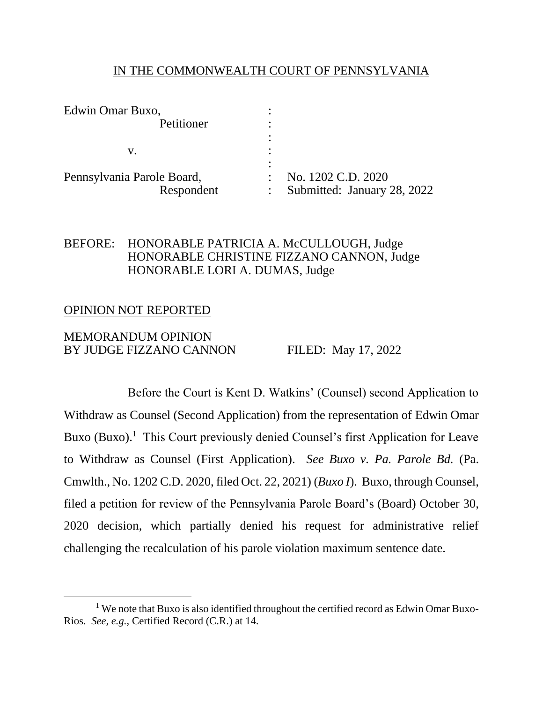### IN THE COMMONWEALTH COURT OF PENNSYLVANIA

| No. 1202 C.D. 2020          |
|-----------------------------|
| Submitted: January 28, 2022 |
|                             |

# BEFORE: HONORABLE PATRICIA A. McCULLOUGH, Judge HONORABLE CHRISTINE FIZZANO CANNON, Judge HONORABLE LORI A. DUMAS, Judge

#### OPINION NOT REPORTED

### MEMORANDUM OPINION BY JUDGE FIZZANO CANNON FILED: May 17, 2022

Before the Court is Kent D. Watkins' (Counsel) second Application to Withdraw as Counsel (Second Application) from the representation of Edwin Omar Buxo (Buxo).<sup>1</sup> This Court previously denied Counsel's first Application for Leave to Withdraw as Counsel (First Application). *See Buxo v. Pa. Parole Bd.* (Pa. Cmwlth., No. 1202 C.D. 2020, filed Oct. 22, 2021) (*Buxo I*). Buxo, through Counsel, filed a petition for review of the Pennsylvania Parole Board's (Board) October 30, 2020 decision, which partially denied his request for administrative relief challenging the recalculation of his parole violation maximum sentence date.

<sup>&</sup>lt;sup>1</sup> We note that Buxo is also identified throughout the certified record as Edwin Omar Buxo-Rios. *See, e.g.*, Certified Record (C.R.) at 14.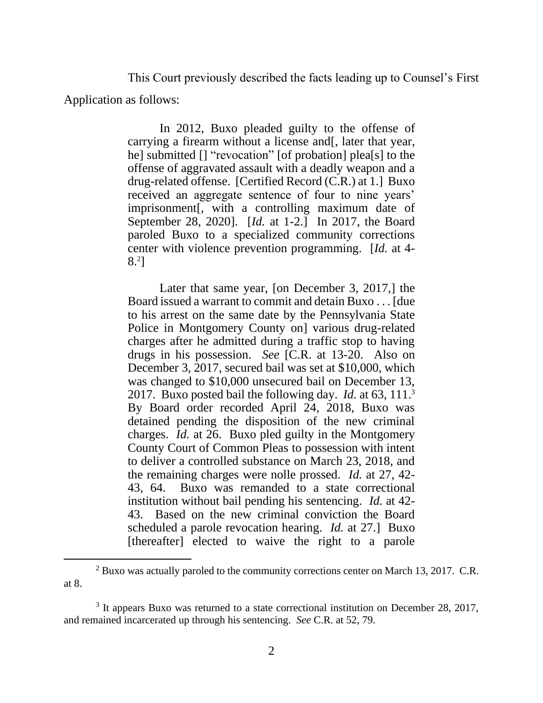This Court previously described the facts leading up to Counsel's First Application as follows:

> In 2012, Buxo pleaded guilty to the offense of carrying a firearm without a license and[, later that year, he] submitted [] "revocation" [of probation] plea[s] to the offense of aggravated assault with a deadly weapon and a drug-related offense. [Certified Record (C.R.) at 1.] Buxo received an aggregate sentence of four to nine years' imprisonment[, with a controlling maximum date of September 28, 2020]. [*Id.* at 1-2.] In 2017, the Board paroled Buxo to a specialized community corrections center with violence prevention programming. [*Id.* at 4- 8. 2 ]

> Later that same year, [on December 3, 2017,] the Board issued a warrant to commit and detain Buxo . . . [due to his arrest on the same date by the Pennsylvania State Police in Montgomery County on] various drug-related charges after he admitted during a traffic stop to having drugs in his possession. *See* [C.R. at 13-20. Also on December 3, 2017, secured bail was set at \$10,000, which was changed to \$10,000 unsecured bail on December 13, 2017. Buxo posted bail the following day. *Id.* at 63, 111.<sup>3</sup> By Board order recorded April 24, 2018, Buxo was detained pending the disposition of the new criminal charges. *Id.* at 26. Buxo pled guilty in the Montgomery County Court of Common Pleas to possession with intent to deliver a controlled substance on March 23, 2018, and the remaining charges were nolle prossed. *Id.* at 27, 42- 43, 64. Buxo was remanded to a state correctional institution without bail pending his sentencing. *Id.* at 42- 43. Based on the new criminal conviction the Board scheduled a parole revocation hearing. *Id.* at 27.] Buxo [thereafter] elected to waive the right to a parole

 $2$  Buxo was actually paroled to the community corrections center on March 13, 2017. C.R. at 8.

<sup>&</sup>lt;sup>3</sup> It appears Buxo was returned to a state correctional institution on December 28, 2017, and remained incarcerated up through his sentencing. *See* C.R. at 52, 79.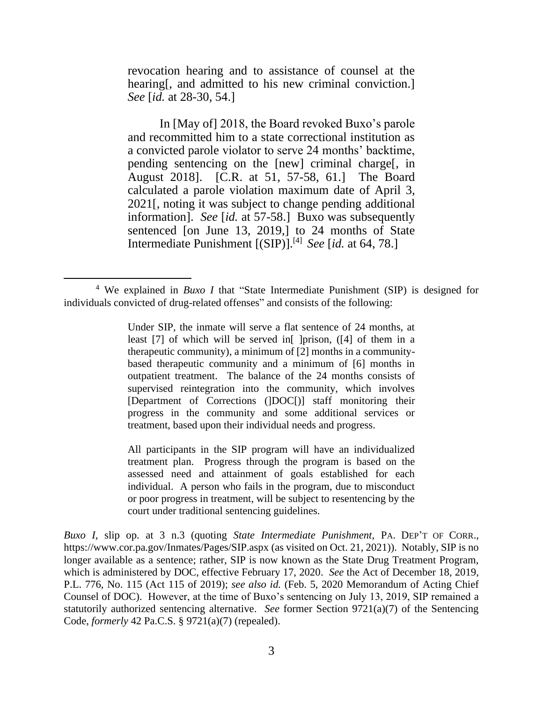revocation hearing and to assistance of counsel at the hearing, and admitted to his new criminal conviction. *See* [*id.* at 28-30, 54.]

In [May of] 2018, the Board revoked Buxo's parole and recommitted him to a state correctional institution as a convicted parole violator to serve 24 months' backtime, pending sentencing on the [new] criminal charge[, in August 2018]. [C.R. at 51, 57-58, 61.] The Board calculated a parole violation maximum date of April 3, 2021[, noting it was subject to change pending additional information]. *See* [*id.* at 57-58.] Buxo was subsequently sentenced [on June 13, 2019,] to 24 months of State Intermediate Punishment [(SIP)]. [4] *See* [*id.* at 64, 78.]

All participants in the SIP program will have an individualized treatment plan. Progress through the program is based on the assessed need and attainment of goals established for each individual. A person who fails in the program, due to misconduct or poor progress in treatment, will be subject to resentencing by the court under traditional sentencing guidelines.

*Buxo I*, slip op. at 3 n.3 (quoting *State Intermediate Punishment*, PA. DEP'T OF CORR., https://www.cor.pa.gov/Inmates/Pages/SIP.aspx (as visited on Oct. 21, 2021)). Notably, SIP is no longer available as a sentence; rather, SIP is now known as the State Drug Treatment Program, which is administered by DOC, effective February 17, 2020. *See* the Act of December 18, 2019, P.L. 776, No. 115 (Act 115 of 2019); *see also id.* (Feb. 5, 2020 Memorandum of Acting Chief Counsel of DOC). However, at the time of Buxo's sentencing on July 13, 2019, SIP remained a statutorily authorized sentencing alternative. *See* former Section 9721(a)(7) of the Sentencing Code, *formerly* 42 Pa.C.S. § 9721(a)(7) (repealed).

<sup>4</sup> We explained in *Buxo I* that "State Intermediate Punishment (SIP) is designed for individuals convicted of drug-related offenses" and consists of the following:

Under SIP, the inmate will serve a flat sentence of 24 months, at least [7] of which will be served in [ ]prison, ([4] of them in a therapeutic community), a minimum of [2] months in a communitybased therapeutic community and a minimum of [6] months in outpatient treatment. The balance of the 24 months consists of supervised reintegration into the community, which involves [Department of Corrections (]DOC[)] staff monitoring their progress in the community and some additional services or treatment, based upon their individual needs and progress.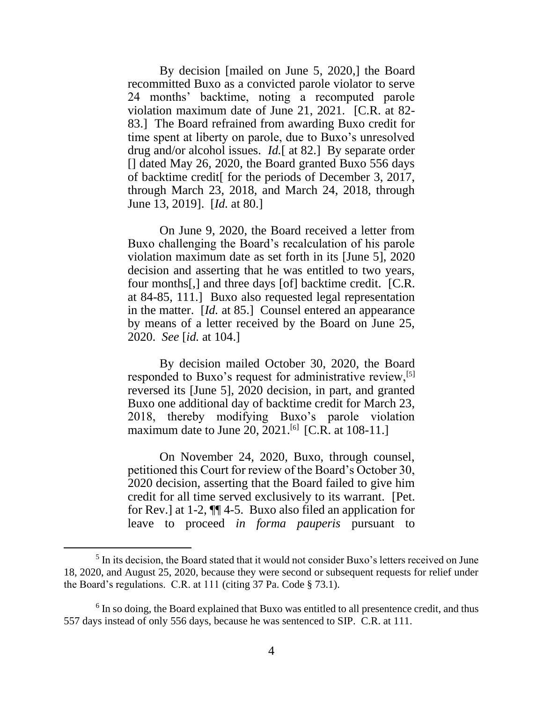By decision [mailed on June 5, 2020,] the Board recommitted Buxo as a convicted parole violator to serve 24 months' backtime, noting a recomputed parole violation maximum date of June 21, 2021. [C.R. at 82- 83.] The Board refrained from awarding Buxo credit for time spent at liberty on parole, due to Buxo's unresolved drug and/or alcohol issues. *Id.*[ at 82.] By separate order [] dated May 26, 2020, the Board granted Buxo 556 days of backtime credit[ for the periods of December 3, 2017, through March 23, 2018, and March 24, 2018, through June 13, 2019]. [*Id.* at 80.]

On June 9, 2020, the Board received a letter from Buxo challenging the Board's recalculation of his parole violation maximum date as set forth in its [June 5], 2020 decision and asserting that he was entitled to two years, four months[,] and three days [of] backtime credit. [C.R. at 84-85, 111.] Buxo also requested legal representation in the matter. [*Id.* at 85.] Counsel entered an appearance by means of a letter received by the Board on June 25, 2020. *See* [*id.* at 104.]

By decision mailed October 30, 2020, the Board responded to Buxo's request for administrative review,<sup>[5]</sup> reversed its [June 5], 2020 decision, in part, and granted Buxo one additional day of backtime credit for March 23, 2018, thereby modifying Buxo's parole violation maximum date to June 20, 2021.<sup>[6]</sup> [C.R. at 108-11.]

On November 24, 2020, Buxo, through counsel, petitioned this Court for review of the Board's October 30, 2020 decision, asserting that the Board failed to give him credit for all time served exclusively to its warrant. [Pet. for Rev.] at 1-2, ¶¶ 4-5. Buxo also filed an application for leave to proceed *in forma pauperis* pursuant to

<sup>&</sup>lt;sup>5</sup> In its decision, the Board stated that it would not consider Buxo's letters received on June 18, 2020, and August 25, 2020, because they were second or subsequent requests for relief under the Board's regulations. C.R. at 111 (citing 37 Pa. Code § 73.1).

 $6$  In so doing, the Board explained that Buxo was entitled to all presentence credit, and thus 557 days instead of only 556 days, because he was sentenced to SIP. C.R. at 111.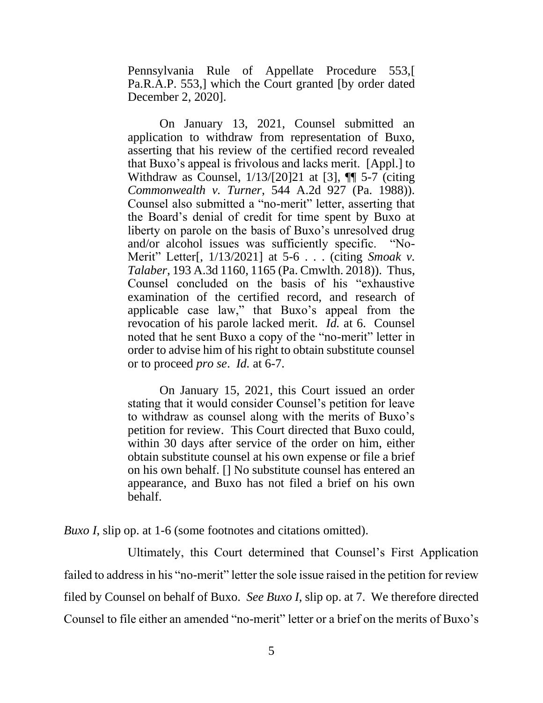Pennsylvania Rule of Appellate Procedure 553,[ Pa.R.A.P. 553,] which the Court granted [by order dated December 2, 2020].

On January 13, 2021, Counsel submitted an application to withdraw from representation of Buxo, asserting that his review of the certified record revealed that Buxo's appeal is frivolous and lacks merit. [Appl.] to Withdraw as Counsel, 1/13/[20]21 at [3], ¶¶ 5-7 (citing *Commonwealth v. Turner*, 544 A.2d 927 (Pa. 1988)). Counsel also submitted a "no-merit" letter, asserting that the Board's denial of credit for time spent by Buxo at liberty on parole on the basis of Buxo's unresolved drug and/or alcohol issues was sufficiently specific. "No-Merit" Letter[, 1/13/2021] at 5-6 . . . (citing *Smoak v. Talaber*, 193 A.3d 1160, 1165 (Pa. Cmwlth. 2018)). Thus, Counsel concluded on the basis of his "exhaustive examination of the certified record, and research of applicable case law," that Buxo's appeal from the revocation of his parole lacked merit. *Id.* at 6. Counsel noted that he sent Buxo a copy of the "no-merit" letter in order to advise him of his right to obtain substitute counsel or to proceed *pro se*. *Id.* at 6-7.

On January 15, 2021, this Court issued an order stating that it would consider Counsel's petition for leave to withdraw as counsel along with the merits of Buxo's petition for review. This Court directed that Buxo could, within 30 days after service of the order on him, either obtain substitute counsel at his own expense or file a brief on his own behalf. [] No substitute counsel has entered an appearance, and Buxo has not filed a brief on his own behalf.

*Buxo I*, slip op. at 1-6 (some footnotes and citations omitted).

Ultimately, this Court determined that Counsel's First Application failed to address in his "no-merit" letter the sole issue raised in the petition for review filed by Counsel on behalf of Buxo. *See Buxo I*, slip op. at 7. We therefore directed Counsel to file either an amended "no-merit" letter or a brief on the merits of Buxo's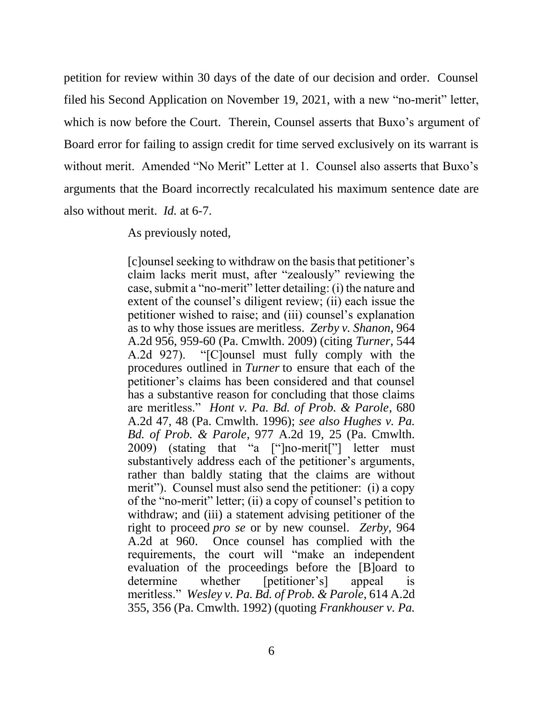petition for review within 30 days of the date of our decision and order. Counsel filed his Second Application on November 19, 2021, with a new "no-merit" letter, which is now before the Court. Therein, Counsel asserts that Buxo's argument of Board error for failing to assign credit for time served exclusively on its warrant is without merit. Amended "No Merit" Letter at 1. Counsel also asserts that Buxo's arguments that the Board incorrectly recalculated his maximum sentence date are also without merit. *Id.* at 6-7.

As previously noted,

[c]ounsel seeking to withdraw on the basis that petitioner's claim lacks merit must, after "zealously" reviewing the case, submit a "no-merit" letter detailing: (i) the nature and extent of the counsel's diligent review; (ii) each issue the petitioner wished to raise; and (iii) counsel's explanation as to why those issues are meritless. *Zerby v. Shanon*, 964 A.2d 956, 959-60 (Pa. Cmwlth. 2009) (citing *Turner*, 544 A.2d 927). "[C]ounsel must fully comply with the procedures outlined in *Turner* to ensure that each of the petitioner's claims has been considered and that counsel has a substantive reason for concluding that those claims are meritless." *Hont v. Pa. Bd. of Prob. & Parole*, 680 A.2d 47, 48 (Pa. Cmwlth. 1996); *see also Hughes v. Pa. Bd. of Prob. & Parole*, 977 A.2d 19, 25 (Pa. Cmwlth. 2009) (stating that "a ["]no-merit["] letter must substantively address each of the petitioner's arguments, rather than baldly stating that the claims are without merit"). Counsel must also send the petitioner: (i) a copy of the "no-merit" letter; (ii) a copy of counsel's petition to withdraw; and (iii) a statement advising petitioner of the right to proceed *pro se* or by new counsel. *Zerby*, 964 A.2d at 960. Once counsel has complied with the requirements, the court will "make an independent evaluation of the proceedings before the [B]oard to determine whether [petitioner's] appeal is meritless." *Wesley v. Pa. Bd. of Prob. & Parole*, 614 A.2d 355, 356 (Pa. Cmwlth. 1992) (quoting *Frankhouser v. Pa.*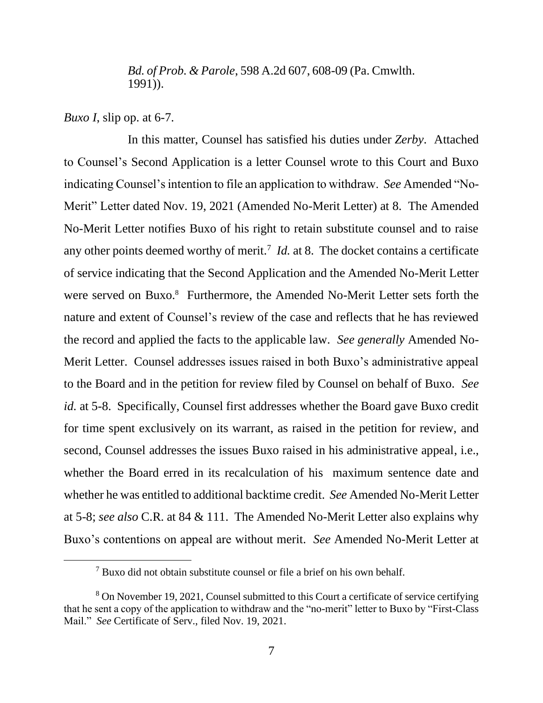#### *Bd. of Prob. & Parole*, 598 A.2d 607, 608-09 (Pa. Cmwlth. 1991)).

*Buxo I*, slip op. at 6-7.

In this matter, Counsel has satisfied his duties under *Zerby*. Attached to Counsel's Second Application is a letter Counsel wrote to this Court and Buxo indicating Counsel's intention to file an application to withdraw. *See* Amended "No-Merit" Letter dated Nov. 19, 2021 (Amended No-Merit Letter) at 8. The Amended No-Merit Letter notifies Buxo of his right to retain substitute counsel and to raise any other points deemed worthy of merit.<sup>7</sup> *Id.* at 8. The docket contains a certificate of service indicating that the Second Application and the Amended No-Merit Letter were served on Buxo.<sup>8</sup> Furthermore, the Amended No-Merit Letter sets forth the nature and extent of Counsel's review of the case and reflects that he has reviewed the record and applied the facts to the applicable law. *See generally* Amended No-Merit Letter. Counsel addresses issues raised in both Buxo's administrative appeal to the Board and in the petition for review filed by Counsel on behalf of Buxo. *See id.* at 5-8. Specifically, Counsel first addresses whether the Board gave Buxo credit for time spent exclusively on its warrant, as raised in the petition for review, and second, Counsel addresses the issues Buxo raised in his administrative appeal, i.e., whether the Board erred in its recalculation of his maximum sentence date and whether he was entitled to additional backtime credit. *See* Amended No-Merit Letter at 5-8; *see also* C.R. at 84 & 111. The Amended No-Merit Letter also explains why Buxo's contentions on appeal are without merit. *See* Amended No-Merit Letter at

<sup>7</sup> Buxo did not obtain substitute counsel or file a brief on his own behalf.

<sup>8</sup> On November 19, 2021, Counsel submitted to this Court a certificate of service certifying that he sent a copy of the application to withdraw and the "no-merit" letter to Buxo by "First-Class Mail." *See* Certificate of Serv., filed Nov. 19, 2021.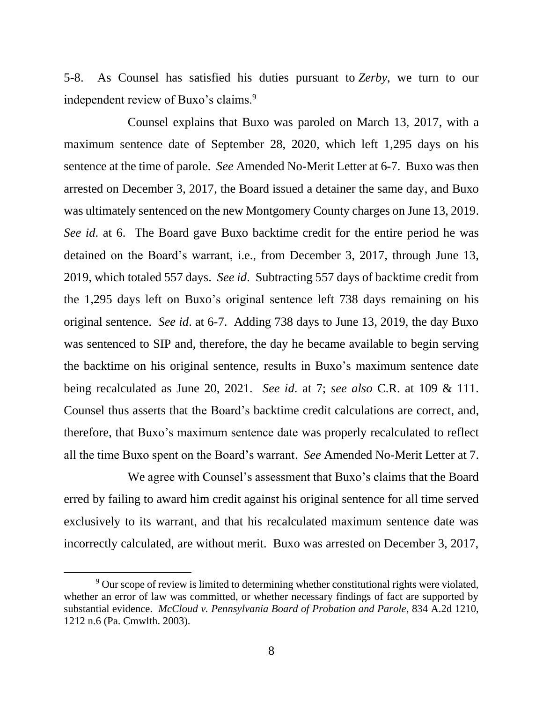5-8. As Counsel has satisfied his duties pursuant to *Zerby*, we turn to our independent review of Buxo's claims.<sup>9</sup>

Counsel explains that Buxo was paroled on March 13, 2017, with a maximum sentence date of September 28, 2020, which left 1,295 days on his sentence at the time of parole. *See* Amended No-Merit Letter at 6-7. Buxo was then arrested on December 3, 2017, the Board issued a detainer the same day, and Buxo was ultimately sentenced on the new Montgomery County charges on June 13, 2019. *See id*. at 6. The Board gave Buxo backtime credit for the entire period he was detained on the Board's warrant, i.e., from December 3, 2017, through June 13, 2019, which totaled 557 days. *See id*. Subtracting 557 days of backtime credit from the 1,295 days left on Buxo's original sentence left 738 days remaining on his original sentence. *See id*. at 6-7. Adding 738 days to June 13, 2019, the day Buxo was sentenced to SIP and, therefore, the day he became available to begin serving the backtime on his original sentence, results in Buxo's maximum sentence date being recalculated as June 20, 2021. *See id*. at 7; *see also* C.R. at 109 & 111. Counsel thus asserts that the Board's backtime credit calculations are correct, and, therefore, that Buxo's maximum sentence date was properly recalculated to reflect all the time Buxo spent on the Board's warrant. *See* Amended No-Merit Letter at 7.

We agree with Counsel's assessment that Buxo's claims that the Board erred by failing to award him credit against his original sentence for all time served exclusively to its warrant, and that his recalculated maximum sentence date was incorrectly calculated, are without merit. Buxo was arrested on December 3, 2017,

<sup>&</sup>lt;sup>9</sup> Our scope of review is limited to determining whether constitutional rights were violated, whether an error of law was committed, or whether necessary findings of fact are supported by substantial evidence. *McCloud v. Pennsylvania Board of Probation and Parole*, 834 A.2d 1210, 1212 n.6 (Pa. Cmwlth. 2003).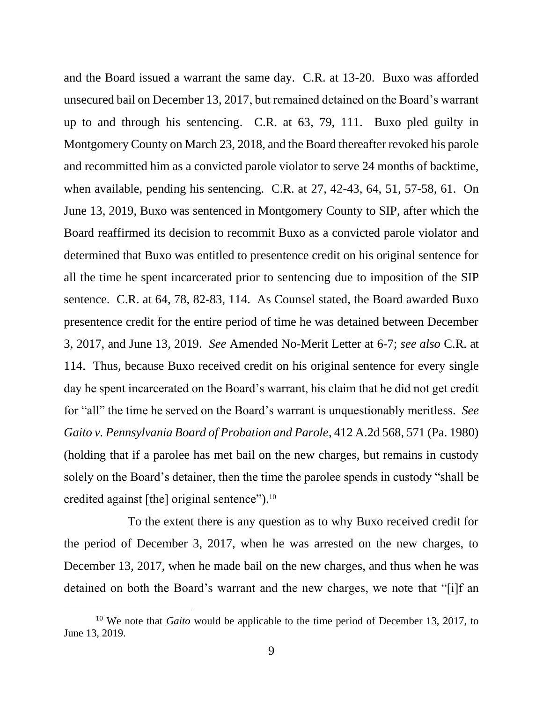and the Board issued a warrant the same day. C.R. at 13-20. Buxo was afforded unsecured bail on December 13, 2017, but remained detained on the Board's warrant up to and through his sentencing. C.R. at 63, 79, 111. Buxo pled guilty in Montgomery County on March 23, 2018, and the Board thereafter revoked his parole and recommitted him as a convicted parole violator to serve 24 months of backtime, when available, pending his sentencing. C.R. at 27, 42-43, 64, 51, 57-58, 61. On June 13, 2019, Buxo was sentenced in Montgomery County to SIP, after which the Board reaffirmed its decision to recommit Buxo as a convicted parole violator and determined that Buxo was entitled to presentence credit on his original sentence for all the time he spent incarcerated prior to sentencing due to imposition of the SIP sentence. C.R. at 64, 78, 82-83, 114. As Counsel stated, the Board awarded Buxo presentence credit for the entire period of time he was detained between December 3, 2017, and June 13, 2019. *See* Amended No-Merit Letter at 6-7; *see also* C.R. at 114. Thus, because Buxo received credit on his original sentence for every single day he spent incarcerated on the Board's warrant, his claim that he did not get credit for "all" the time he served on the Board's warrant is unquestionably meritless. *See Gaito v. Pennsylvania Board of Probation and Parole*, 412 A.2d 568, 571 (Pa. 1980) (holding that if a parolee has met bail on the new charges, but remains in custody solely on the Board's detainer, then the time the parolee spends in custody "shall be credited against [the] original sentence"). $^{10}$ 

To the extent there is any question as to why Buxo received credit for the period of December 3, 2017, when he was arrested on the new charges, to December 13, 2017, when he made bail on the new charges, and thus when he was detained on both the Board's warrant and the new charges, we note that "[i]f an

<sup>&</sup>lt;sup>10</sup> We note that *Gaito* would be applicable to the time period of December 13, 2017, to June 13, 2019.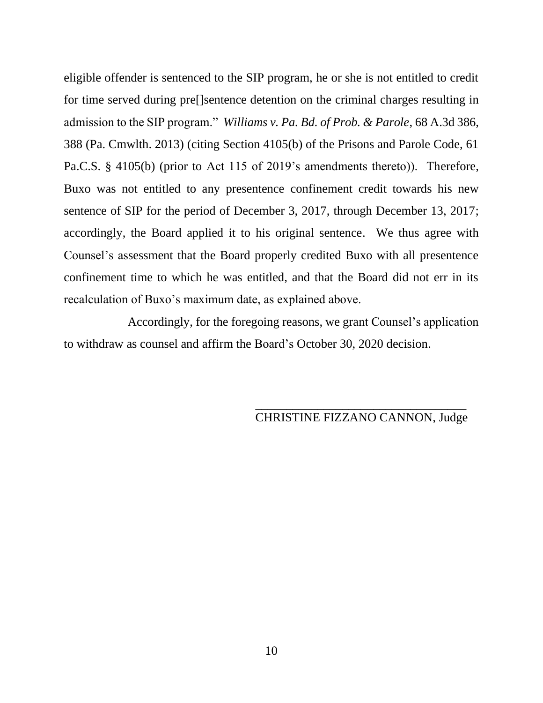eligible offender is sentenced to the SIP program, he or she is not entitled to credit for time served during pre[]sentence detention on the criminal charges resulting in admission to the SIP program." *Williams v. Pa. Bd. of Prob. & Parole*, 68 A.3d 386, 388 (Pa. Cmwlth. 2013) (citing Section 4105(b) of the Prisons and Parole Code, 61 Pa.C.S. § 4105(b) (prior to Act 115 of 2019's amendments thereto)). Therefore, Buxo was not entitled to any presentence confinement credit towards his new sentence of SIP for the period of December 3, 2017, through December 13, 2017; accordingly, the Board applied it to his original sentence. We thus agree with Counsel's assessment that the Board properly credited Buxo with all presentence confinement time to which he was entitled, and that the Board did not err in its recalculation of Buxo's maximum date, as explained above.

Accordingly, for the foregoing reasons, we grant Counsel's application to withdraw as counsel and affirm the Board's October 30, 2020 decision.

> \_\_\_\_\_\_\_\_\_\_\_\_\_\_\_\_\_\_\_\_\_\_\_\_\_\_\_\_\_\_\_\_\_\_ CHRISTINE FIZZANO CANNON, Judge